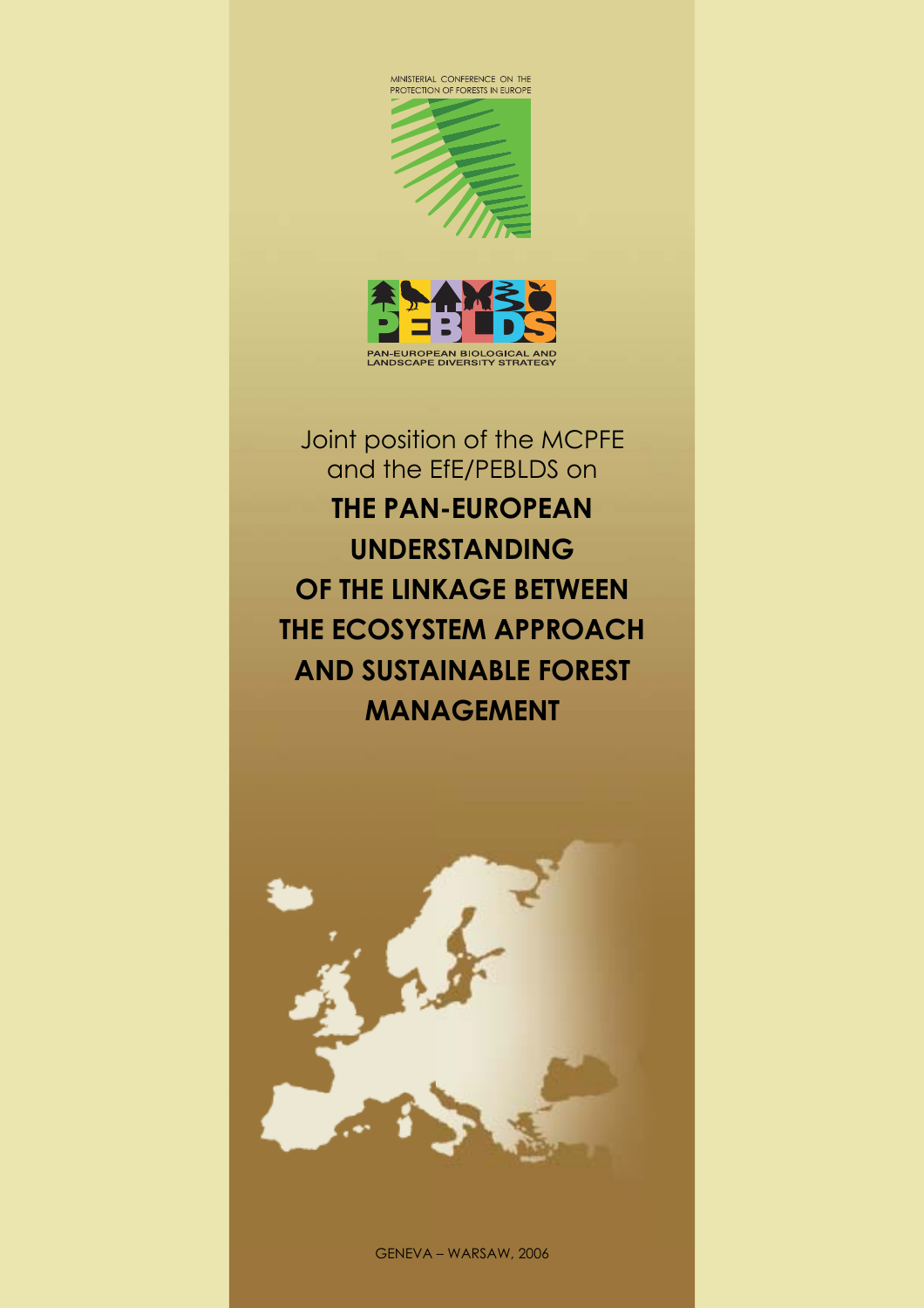



Joint position of the MCPFE and the EfE/PEBLDS on **THE PAN-EUROPEAN UNDERSTANDING OF THE LINKAGE BETWEEN THE ECOSYSTEM APPROACH AND SUSTAINABLE FOREST MANAGEMENT**



GENEVA – WARSAW, 2006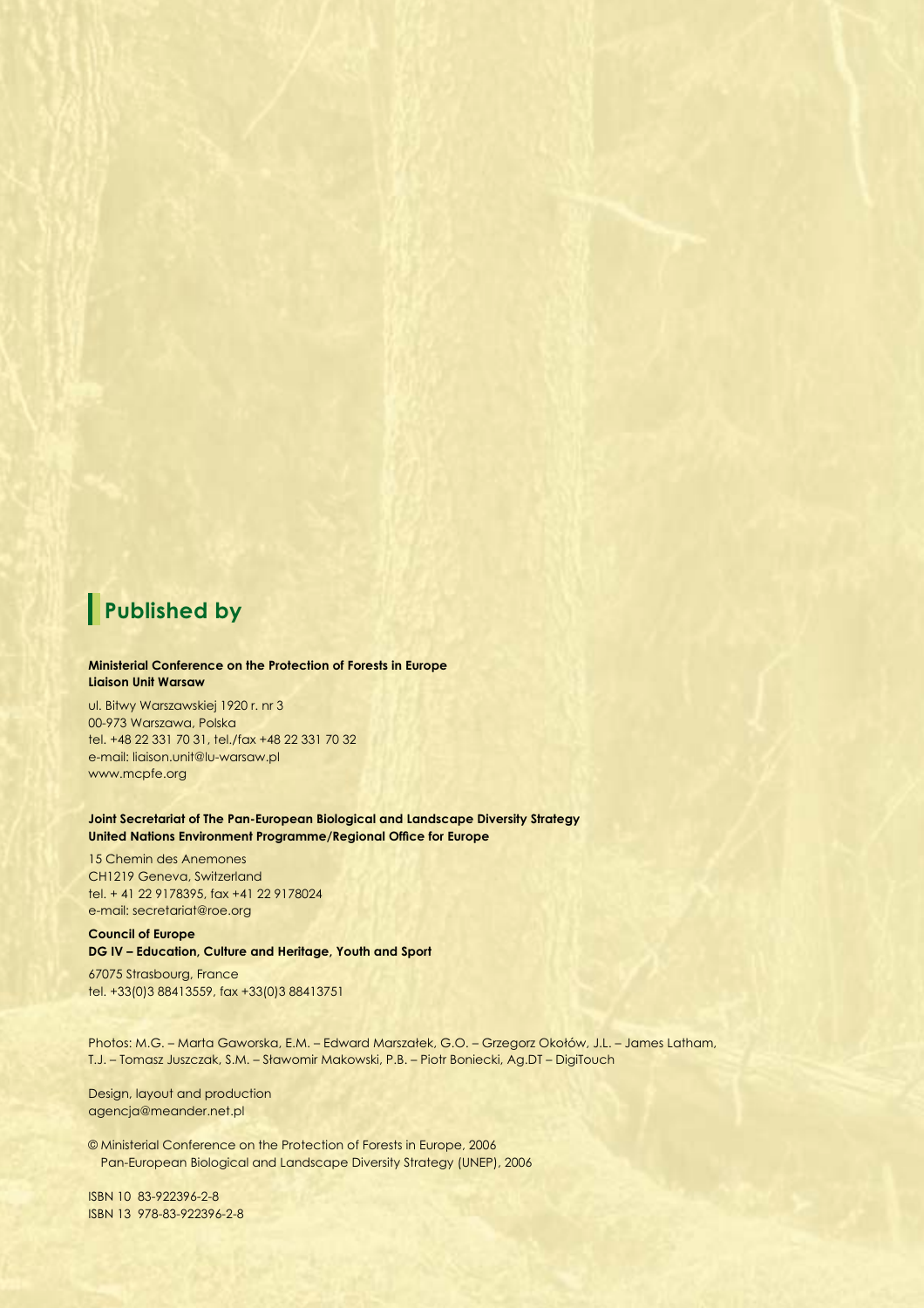# **Published by**

#### **Ministerial Conference on the Protection of Forests in Europe Liaison Unit Warsaw**

ul. Bitwy Warszawskiej 1920 r. nr 3 00-973 Warszawa, Polska tel. +48 22 331 70 31, tel./fax +48 22 331 70 32 e-mail: liaison.unit@lu-warsaw.pl www.mcpfe.org

**Joint Secretariat of The Pan-European Biological and Landscape Diversity Strategy United Nations Environment Programme/Regional Office for Europe** 

15 Chemin des Anemones CH1219 Geneva, Switzerland tel. + 41 22 9178395, fax +41 22 9178024 e-mail: secretariat@roe.org

**Council of Europe DG IV – Education, Culture and Heritage, Youth and Sport**

67075 Strasbourg, France tel. +33(0)3 88413559, fax +33(0)3 88413751

Photos: M.G. – Marta Gaworska, E.M. – Edward Marszałek, G.O. – Grzegorz Okołów, J.L. – James Latham, T.J. – Tomasz Juszczak, S.M. – Sławomir Makowski, P.B. – Piotr Boniecki, Ag.DT – DigiTouch

Design, layout and production agencja@meander.net.pl

© Ministerial Conference on the Protection of Forests in Europe, 2006 Pan-European Biological and Landscape Diversity Strategy (UNEP), 2006

ISBN 10 83-922396-2-8 ISBN 13 978-83-922396-2-8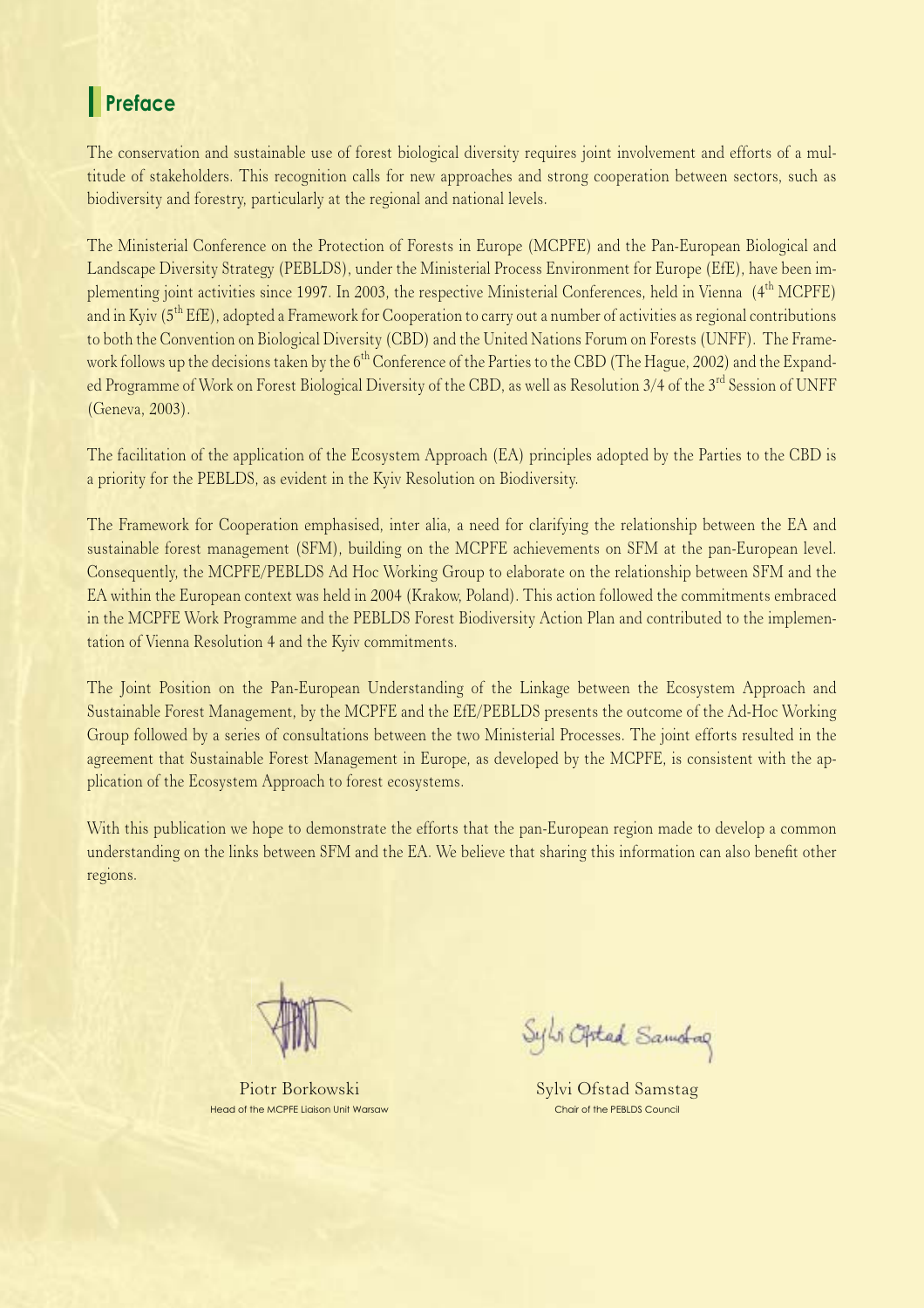## **Preface**

The conservation and sustainable use of forest biological diversity requires joint involvement and efforts of a multitude of stakeholders. This recognition calls for new approaches and strong cooperation between sectors, such as biodiversity and forestry, particularly at the regional and national levels.

The Ministerial Conference on the Protection of Forests in Europe (MCPFE) and the Pan-European Biological and Landscape Diversity Strategy (PEBLDS), under the Ministerial Process Environment for Europe (EfE), have been implementing joint activities since 1997. In 2003, the respective Ministerial Conferences, held in Vienna (4<sup>th</sup> MCPFE) and in Kyiv (5<sup>th</sup> EfE), adopted a Framework for Cooperation to carry out a number of activities as regional contributions to both the Convention on Biological Diversity (CBD) and the United Nations Forum on Forests (UNFF). The Framework follows up the decisions taken by the  $6<sup>th</sup>$  Conference of the Parties to the CBD (The Hague, 2002) and the Expanded Programme of Work on Forest Biological Diversity of the CBD, as well as Resolution 3/4 of the 3<sup>rd</sup> Session of UNFF (Geneva, 2003).

The facilitation of the application of the Ecosystem Approach (EA) principles adopted by the Parties to the CBD is a priority for the PEBLDS, as evident in the Kyiv Resolution on Biodiversity.

The Framework for Cooperation emphasised, inter alia, a need for clarifying the relationship between the EA and sustainable forest management (SFM), building on the MCPFE achievements on SFM at the pan-European level. Consequently, the MCPFE/PEBLDS Ad Hoc Working Group to elaborate on the relationship between SFM and the EA within the European context was held in 2004 (Krakow, Poland). This action followed the commitments embraced in the MCPFE Work Programme and the PEBLDS Forest Biodiversity Action Plan and contributed to the implementation of Vienna Resolution 4 and the Kyiv commitments.

The Joint Position on the Pan-European Understanding of the Linkage between the Ecosystem Approach and Sustainable Forest Management, by the MCPFE and the EfE/PEBLDS presents the outcome of the Ad-Hoc Working Group followed by a series of consultations between the two Ministerial Processes. The joint efforts resulted in the agreement that Sustainable Forest Management in Europe, as developed by the MCPFE, is consistent with the application of the Ecosystem Approach to forest ecosystems.

With this publication we hope to demonstrate the efforts that the pan-European region made to develop a common understanding on the links between SFM and the EA. We believe that sharing this information can also benefit other regions.

Piotr Borkowski Head of the MCPFE Liaison Unit Warsaw

Sylvi Optad Samolog

Sylvi Ofstad Samstag Chair of the PEBLDS Council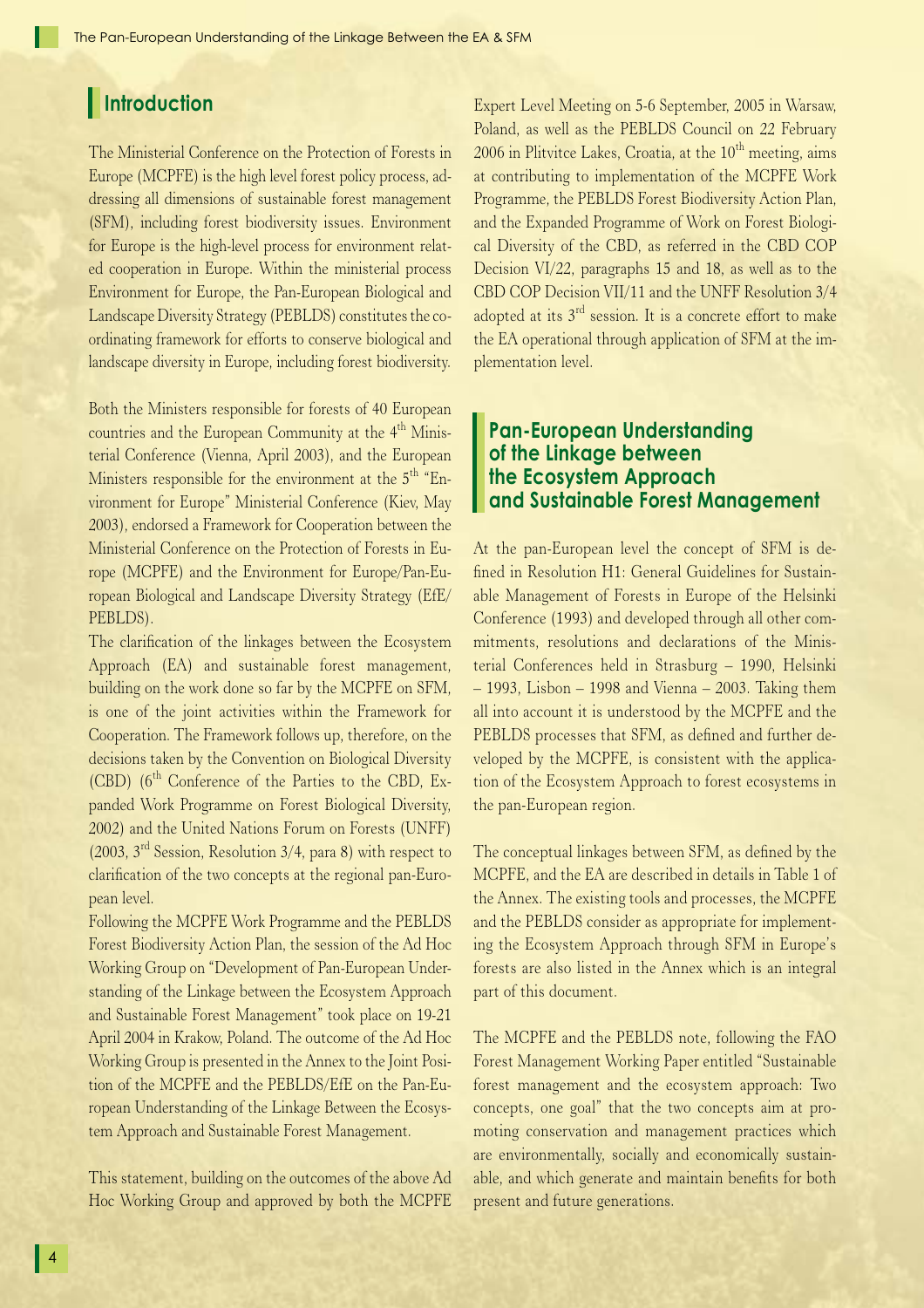## **Introduction**

The Ministerial Conference on the Protection of Forests in Europe (MCPFE) is the high level forest policy process, addressing all dimensions of sustainable forest management (SFM), including forest biodiversity issues. Environment for Europe is the high-level process for environment related cooperation in Europe. Within the ministerial process Environment for Europe, the Pan-European Biological and Landscape Diversity Strategy (PEBLDS) constitutes the coordinating framework for efforts to conserve biological and landscape diversity in Europe, including forest biodiversity.

Both the Ministers responsible for forests of 40 European countries and the European Community at the 4<sup>th</sup> Ministerial Conference (Vienna, April 2003), and the European Ministers responsible for the environment at the  $5<sup>th</sup>$  "Environment for Europe" Ministerial Conference (Kiev, May 2003), endorsed a Framework for Cooperation between the Ministerial Conference on the Protection of Forests in Europe (MCPFE) and the Environment for Europe/Pan-European Biological and Landscape Diversity Strategy (EfE/ PEBLDS).

The clarification of the linkages between the Ecosystem Approach (EA) and sustainable forest management, building on the work done so far by the MCPFE on SFM, is one of the joint activities within the Framework for Cooperation. The Framework follows up, therefore, on the decisions taken by the Convention on Biological Diversity  $(CBD)$  ( $6<sup>th</sup>$  Conference of the Parties to the CBD, Expanded Work Programme on Forest Biological Diversity, 2002) and the United Nations Forum on Forests (UNFF) (2003, 3rd Session, Resolution 3/4, para 8) with respect to clarification of the two concepts at the regional pan-European level.

Following the MCPFE Work Programme and the PEBLDS Forest Biodiversity Action Plan, the session of the Ad Hoc Working Group on "Development of Pan-European Understanding of the Linkage between the Ecosystem Approach and Sustainable Forest Management" took place on 19-21 April 2004 in Krakow, Poland. The outcome of the Ad Hoc Working Group is presented in the Annex to the Joint Position of the MCPFE and the PEBLDS/EfE on the Pan-European Understanding of the Linkage Between the Ecosystem Approach and Sustainable Forest Management.

This statement, building on the outcomes of the above Ad Hoc Working Group and approved by both the MCPFE Expert Level Meeting on 5-6 September, 2005 in Warsaw, Poland, as well as the PEBLDS Council on 22 February  $2006$  in Plitvitce Lakes, Croatia, at the  $10<sup>th</sup>$  meeting, aims at contributing to implementation of the MCPFE Work Programme, the PEBLDS Forest Biodiversity Action Plan, and the Expanded Programme of Work on Forest Biological Diversity of the CBD, as referred in the CBD COP Decision VI/22, paragraphs 15 and 18, as well as to the CBD COP Decision VII/11 and the UNFF Resolution 3/4 adopted at its  $3<sup>rd</sup>$  session. It is a concrete effort to make the EA operational through application of SFM at the implementation level.

## **Pan-European Understanding of the Linkage between the Ecosystem Approach and Sustainable Forest Management**

At the pan-European level the concept of SFM is defined in Resolution H1: General Guidelines for Sustainable Management of Forests in Europe of the Helsinki Conference (1993) and developed through all other commitments, resolutions and declarations of the Ministerial Conferences held in Strasburg – 1990, Helsinki – 1993, Lisbon – 1998 and Vienna – 2003. Taking them all into account it is understood by the MCPFE and the PEBLDS processes that SFM, as defined and further developed by the MCPFE, is consistent with the application of the Ecosystem Approach to forest ecosystems in the pan-European region.

The conceptual linkages between SFM, as defined by the MCPFE, and the EA are described in details in Table 1 of the Annex. The existing tools and processes, the MCPFE and the PEBLDS consider as appropriate for implementing the Ecosystem Approach through SFM in Europe's forests are also listed in the Annex which is an integral part of this document.

The MCPFE and the PEBLDS note, following the FAO Forest Management Working Paper entitled "Sustainable forest management and the ecosystem approach: Two concepts, one goal" that the two concepts aim at promoting conservation and management practices which are environmentally, socially and economically sustainable, and which generate and maintain benefits for both present and future generations.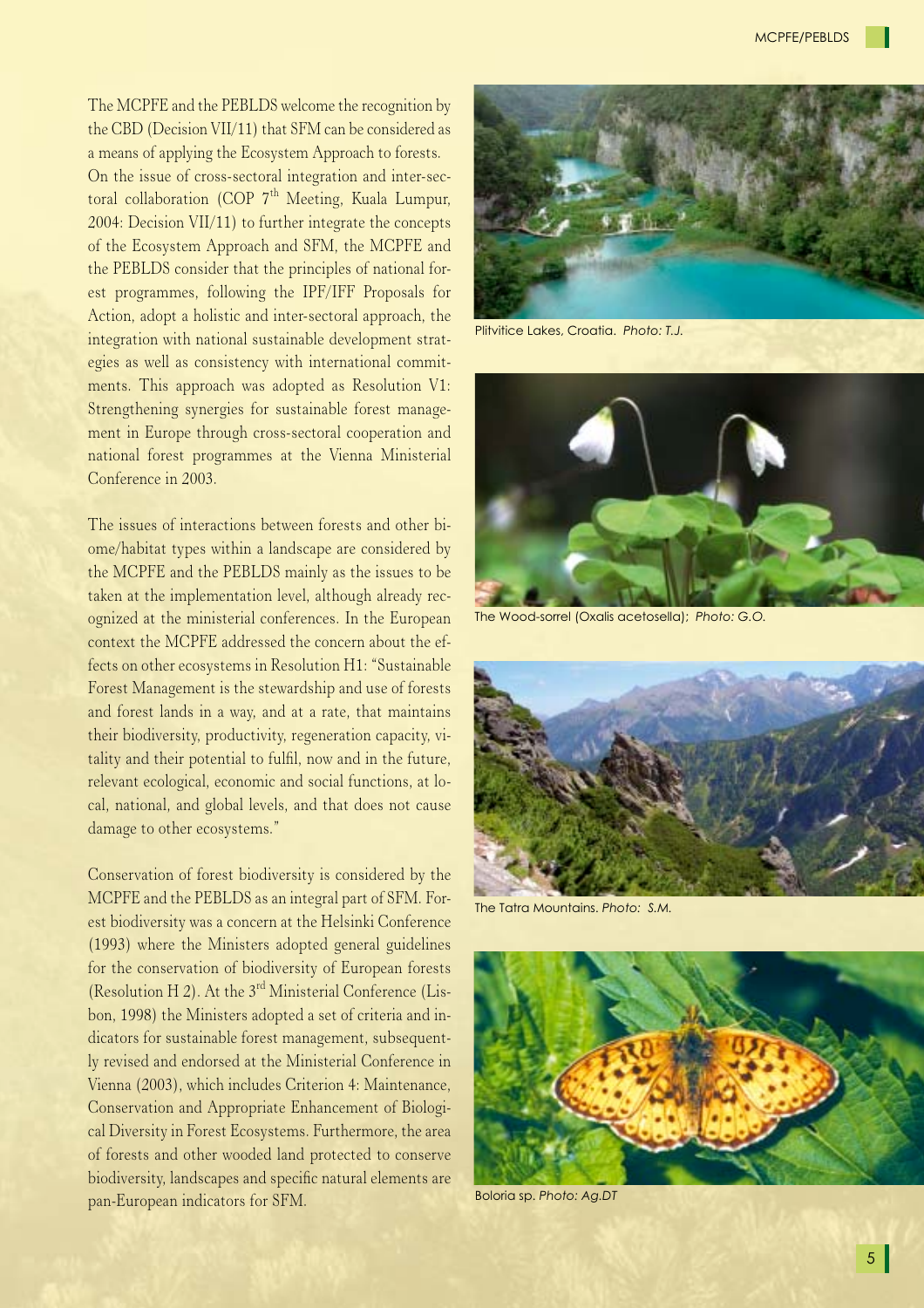The MCPFE and the PEBLDS welcome the recognition by the CBD (Decision VII/11) that SFM can be considered as a means of applying the Ecosystem Approach to forests.

On the issue of cross-sectoral integration and inter-sectoral collaboration (COP 7<sup>th</sup> Meeting, Kuala Lumpur, 2004: Decision VII/11) to further integrate the concepts of the Ecosystem Approach and SFM, the MCPFE and the PEBLDS consider that the principles of national forest programmes, following the IPF/IFF Proposals for Action, adopt a holistic and inter-sectoral approach, the integration with national sustainable development strategies as well as consistency with international commitments. This approach was adopted as Resolution V1: Strengthening synergies for sustainable forest management in Europe through cross-sectoral cooperation and national forest programmes at the Vienna Ministerial Conference in 2003.

The issues of interactions between forests and other biome/habitat types within a landscape are considered by the MCPFE and the PEBLDS mainly as the issues to be taken at the implementation level, although already recognized at the ministerial conferences. In the European context the MCPFE addressed the concern about the effects on other ecosystems in Resolution H1: "Sustainable Forest Management is the stewardship and use of forests and forest lands in a way, and at a rate, that maintains their biodiversity, productivity, regeneration capacity, vitality and their potential to fulfil, now and in the future, relevant ecological, economic and social functions, at local, national, and global levels, and that does not cause damage to other ecosystems."

Conservation of forest biodiversity is considered by the MCPFE and the PEBLDS as an integral part of SFM. Forest biodiversity was a concern at the Helsinki Conference (1993) where the Ministers adopted general guidelines for the conservation of biodiversity of European forests (Resolution H 2). At the  $3<sup>rd</sup>$  Ministerial Conference (Lisbon, 1998) the Ministers adopted a set of criteria and indicators for sustainable forest management, subsequently revised and endorsed at the Ministerial Conference in Vienna (2003), which includes Criterion 4: Maintenance, Conservation and Appropriate Enhancement of Biological Diversity in Forest Ecosystems. Furthermore, the area of forests and other wooded land protected to conserve biodiversity, landscapes and specific natural elements are pan-European indicators for SFM. Boloria sp. *Photo: Ag.DT*



Plitvitice Lakes, Croatia. *Photo: T.J.*



The Wood-sorrel (Oxalis acetosella); *Photo: G.O.*



The Tatra Mountains. *Photo: S.M.*

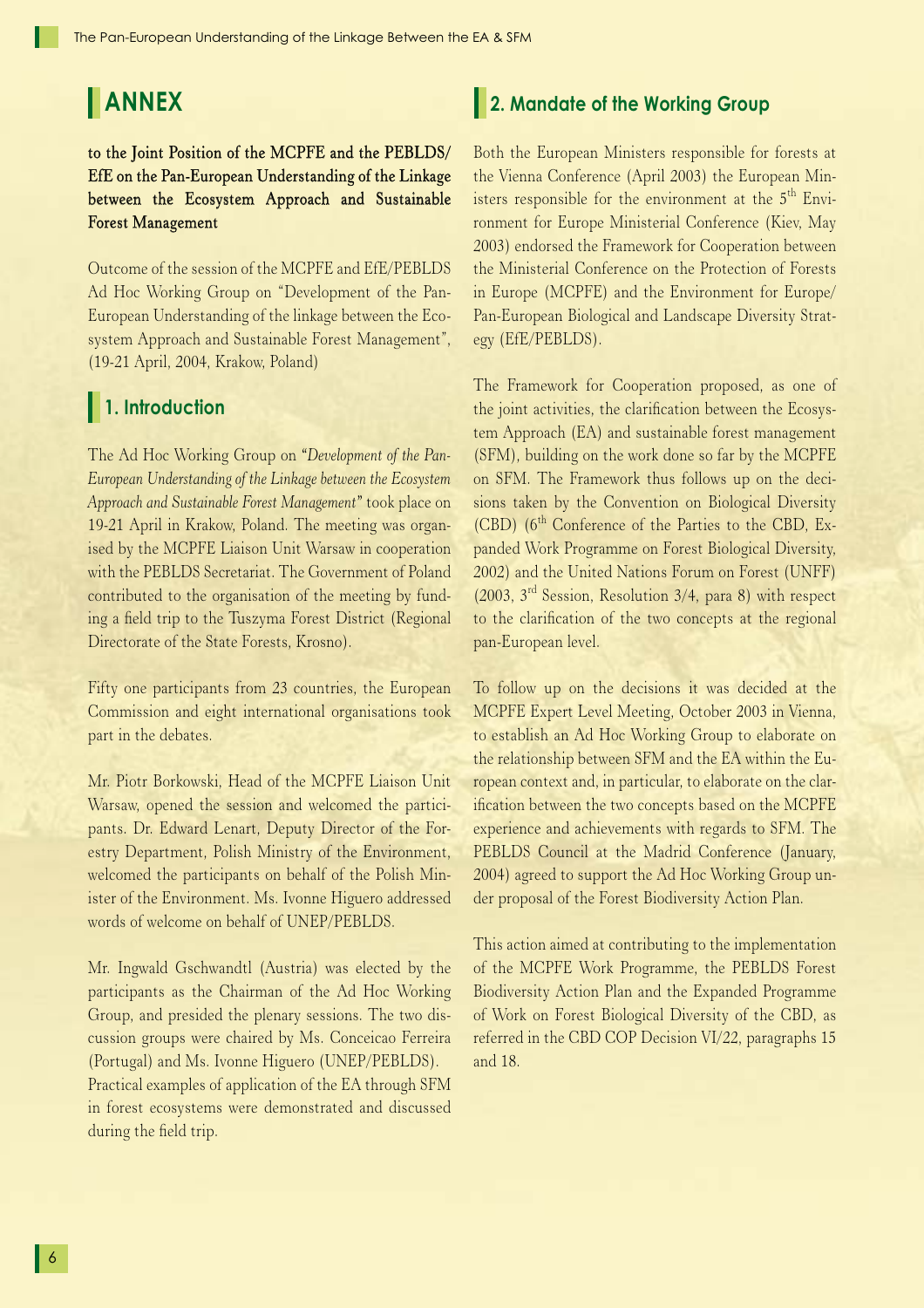# **ANNEX**

### to the Joint Position of the MCPFE and the PEBLDS/ EfE on the Pan-European Understanding of the Linkage between the Ecosystem Approach and Sustainable Forest Management

Outcome of the session of the MCPFE and EfE/PEBLDS Ad Hoc Working Group on "Development of the Pan-European Understanding of the linkage between the Ecosystem Approach and Sustainable Forest Management", (19-21 April, 2004, Krakow, Poland)

## **1. Introduction**

The Ad Hoc Working Group on *"Development of the Pan-European Understanding of the Linkage between the Ecosystem Approach and Sustainable Forest Management"* took place on 19-21 April in Krakow, Poland. The meeting was organised by the MCPFE Liaison Unit Warsaw in cooperation with the PEBLDS Secretariat. The Government of Poland contributed to the organisation of the meeting by funding a field trip to the Tuszyma Forest District (Regional Directorate of the State Forests, Krosno).

Fifty one participants from 23 countries, the European Commission and eight international organisations took part in the debates.

Mr. Piotr Borkowski, Head of the MCPFE Liaison Unit Warsaw, opened the session and welcomed the participants. Dr. Edward Lenart, Deputy Director of the Forestry Department, Polish Ministry of the Environment, welcomed the participants on behalf of the Polish Minister of the Environment. Ms. Ivonne Higuero addressed words of welcome on behalf of UNEP/PEBLDS.

Mr. Ingwald Gschwandtl (Austria) was elected by the participants as the Chairman of the Ad Hoc Working Group, and presided the plenary sessions. The two discussion groups were chaired by Ms. Conceicao Ferreira (Portugal) and Ms. Ivonne Higuero (UNEP/PEBLDS). Practical examples of application of the EA through SFM in forest ecosystems were demonstrated and discussed during the field trip.

## **2. Mandate of the Working Group**

Both the European Ministers responsible for forests at the Vienna Conference (April 2003) the European Ministers responsible for the environment at the  $5<sup>th</sup>$  Environment for Europe Ministerial Conference (Kiev, May 2003) endorsed the Framework for Cooperation between the Ministerial Conference on the Protection of Forests in Europe (MCPFE) and the Environment for Europe/ Pan-European Biological and Landscape Diversity Strategy (EfE/PEBLDS).

The Framework for Cooperation proposed, as one of the joint activities, the clarification between the Ecosystem Approach (EA) and sustainable forest management (SFM), building on the work done so far by the MCPFE on SFM. The Framework thus follows up on the decisions taken by the Convention on Biological Diversity  $(CBD)$  ( $6<sup>th</sup>$  Conference of the Parties to the CBD, Expanded Work Programme on Forest Biological Diversity, 2002) and the United Nations Forum on Forest (UNFF) (2003, 3rd Session, Resolution 3/4, para 8) with respect to the clarification of the two concepts at the regional pan-European level.

To follow up on the decisions it was decided at the MCPFE Expert Level Meeting, October 2003 in Vienna, to establish an Ad Hoc Working Group to elaborate on the relationship between SFM and the EA within the European context and, in particular, to elaborate on the clarification between the two concepts based on the MCPFE experience and achievements with regards to SFM. The PEBLDS Council at the Madrid Conference (January, 2004) agreed to support the Ad Hoc Working Group under proposal of the Forest Biodiversity Action Plan.

This action aimed at contributing to the implementation of the MCPFE Work Programme, the PEBLDS Forest Biodiversity Action Plan and the Expanded Programme of Work on Forest Biological Diversity of the CBD, as referred in the CBD COP Decision VI/22, paragraphs 15 and 18.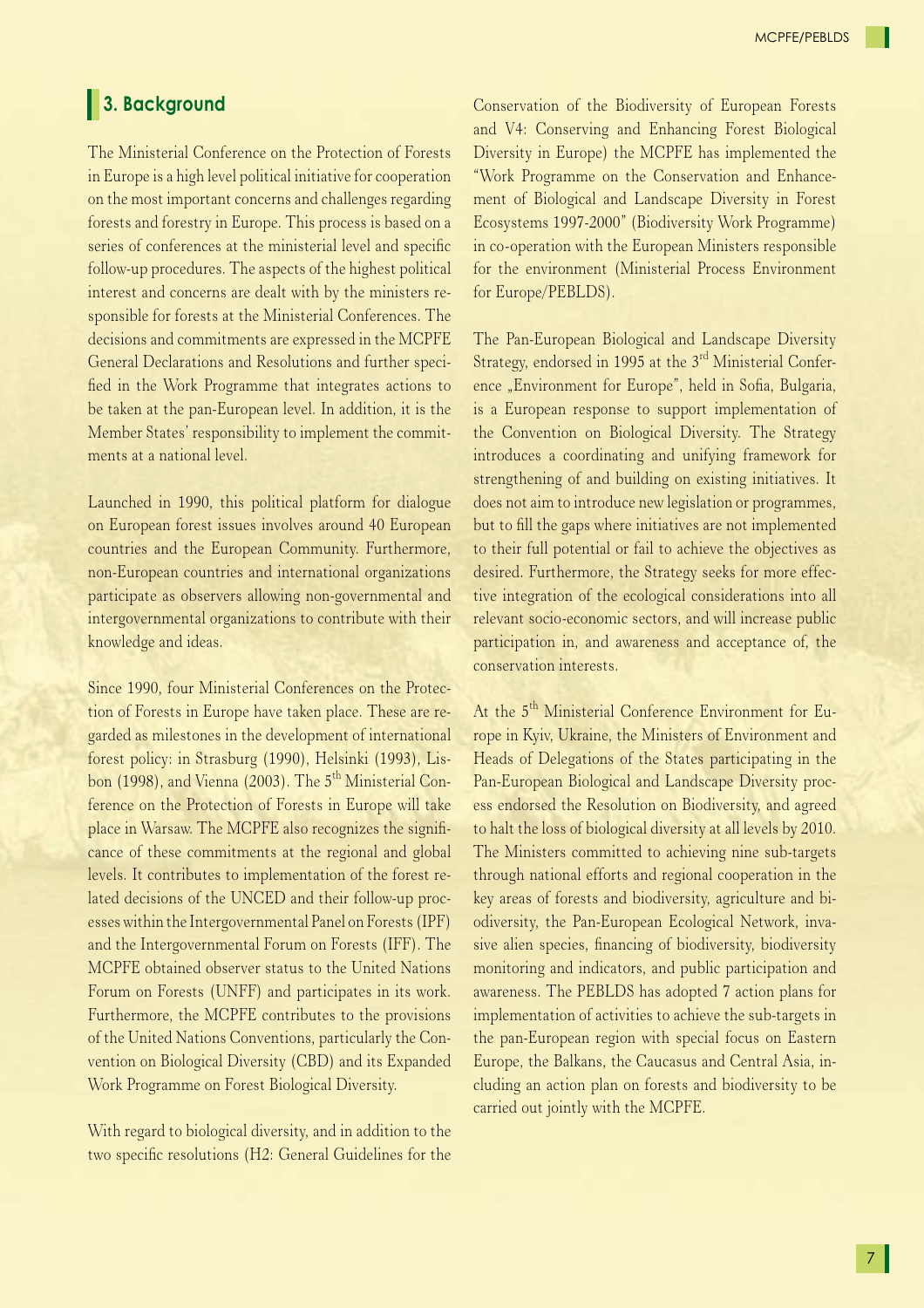## **3. Background**

The Ministerial Conference on the Protection of Forests in Europe is a high level political initiative for cooperation on the most important concerns and challenges regarding forests and forestry in Europe. This process is based on a series of conferences at the ministerial level and specific follow-up procedures. The aspects of the highest political interest and concerns are dealt with by the ministers responsible for forests at the Ministerial Conferences. The decisions and commitments are expressed in the MCPFE General Declarations and Resolutions and further specified in the Work Programme that integrates actions to be taken at the pan-European level. In addition, it is the Member States' responsibility to implement the commitments at a national level.

Launched in 1990, this political platform for dialogue on European forest issues involves around 40 European countries and the European Community. Furthermore, non-European countries and international organizations participate as observers allowing non-governmental and intergovernmental organizations to contribute with their knowledge and ideas.

Since 1990, four Ministerial Conferences on the Protection of Forests in Europe have taken place. These are regarded as milestones in the development of international forest policy: in Strasburg (1990), Helsinki (1993), Lisbon (1998), and Vienna (2003). The 5<sup>th</sup> Ministerial Conference on the Protection of Forests in Europe will take place in Warsaw. The MCPFE also recognizes the significance of these commitments at the regional and global levels. It contributes to implementation of the forest related decisions of the UNCED and their follow-up processes within the Intergovernmental Panel on Forests (IPF) and the Intergovernmental Forum on Forests (IFF). The MCPFE obtained observer status to the United Nations Forum on Forests (UNFF) and participates in its work. Furthermore, the MCPFE contributes to the provisions of the United Nations Conventions, particularly the Convention on Biological Diversity (CBD) and its Expanded Work Programme on Forest Biological Diversity.

With regard to biological diversity, and in addition to the two specific resolutions (H2: General Guidelines for the

Conservation of the Biodiversity of European Forests and V4: Conserving and Enhancing Forest Biological Diversity in Europe) the MCPFE has implemented the "Work Programme on the Conservation and Enhancement of Biological and Landscape Diversity in Forest Ecosystems 1997-2000" (Biodiversity Work Programme) in co-operation with the European Ministers responsible for the environment (Ministerial Process Environment for Europe/PEBLDS).

The Pan-European Biological and Landscape Diversity Strategy, endorsed in 1995 at the  $3<sup>rd</sup>$  Ministerial Conference "Environment for Europe", held in Sofia, Bulgaria, is a European response to support implementation of the Convention on Biological Diversity. The Strategy introduces a coordinating and unifying framework for strengthening of and building on existing initiatives. It does not aim to introduce new legislation or programmes, but to fill the gaps where initiatives are not implemented to their full potential or fail to achieve the objectives as desired. Furthermore, the Strategy seeks for more effective integration of the ecological considerations into all relevant socio-economic sectors, and will increase public participation in, and awareness and acceptance of, the conservation interests.

At the 5<sup>th</sup> Ministerial Conference Environment for Europe in Kyiv, Ukraine, the Ministers of Environment and Heads of Delegations of the States participating in the Pan-European Biological and Landscape Diversity process endorsed the Resolution on Biodiversity, and agreed to halt the loss of biological diversity at all levels by 2010. The Ministers committed to achieving nine sub-targets through national efforts and regional cooperation in the key areas of forests and biodiversity, agriculture and biodiversity, the Pan-European Ecological Network, invasive alien species, financing of biodiversity, biodiversity monitoring and indicators, and public participation and awareness. The PEBLDS has adopted 7 action plans for implementation of activities to achieve the sub-targets in the pan-European region with special focus on Eastern Europe, the Balkans, the Caucasus and Central Asia, including an action plan on forests and biodiversity to be carried out jointly with the MCPFE.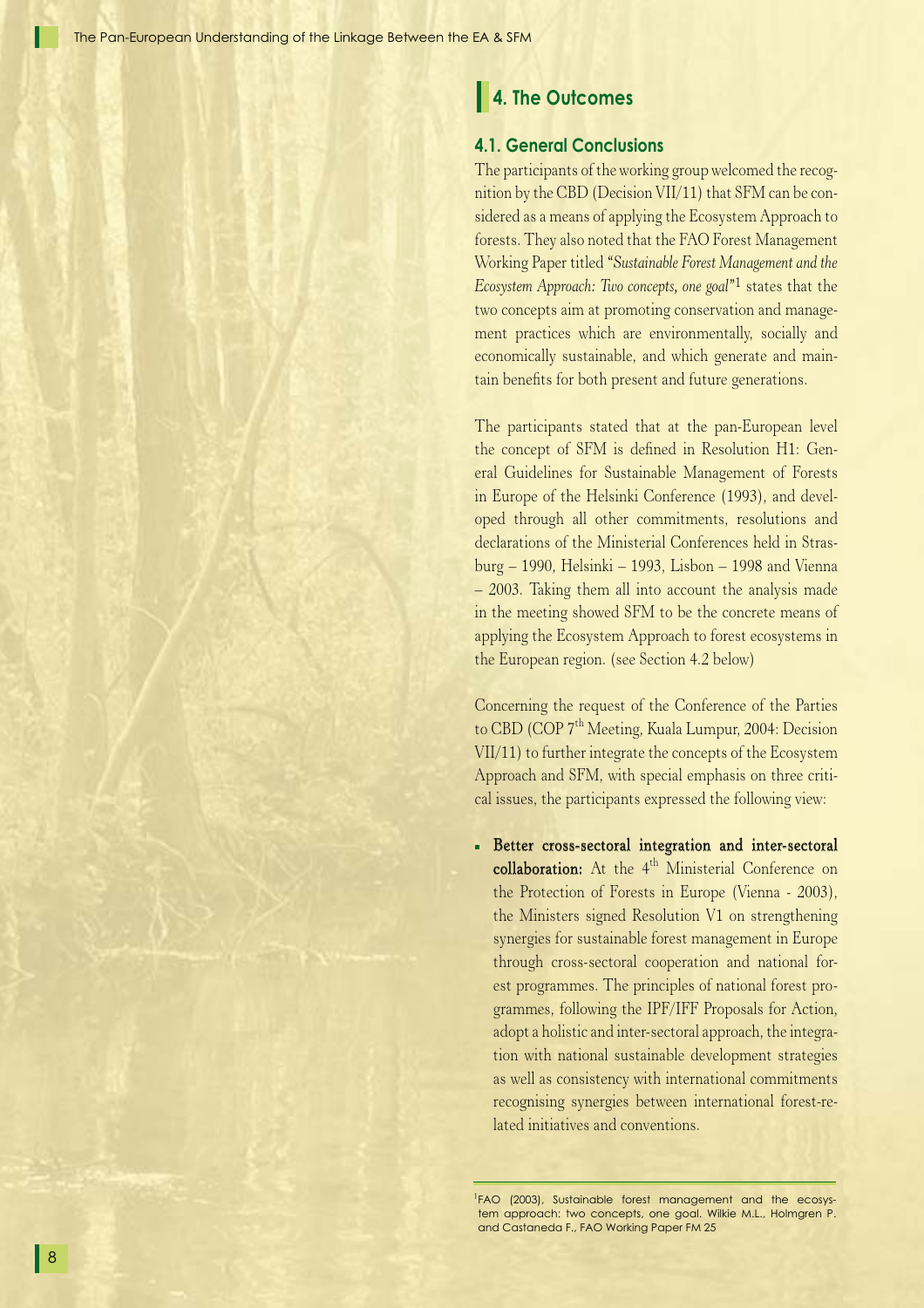## **4. The Outcomes**

### **4.1. General Conclusions**

The participants of the working group welcomed the recognition by the CBD (Decision VII/11) that SFM can be considered as a means of applying the Ecosystem Approach to forests. They also noted that the FAO Forest Management Working Paper titled *"Sustainable Forest Management and the Ecosystem Approach: Two concepts, one goal"*1 states that the two concepts aim at promoting conservation and management practices which are environmentally, socially and economically sustainable, and which generate and maintain benefits for both present and future generations.

The participants stated that at the pan-European level the concept of SFM is defined in Resolution H1: General Guidelines for Sustainable Management of Forests in Europe of the Helsinki Conference (1993), and developed through all other commitments, resolutions and declarations of the Ministerial Conferences held in Strasburg – 1990, Helsinki – 1993, Lisbon – 1998 and Vienna – 2003. Taking them all into account the analysis made in the meeting showed SFM to be the concrete means of applying the Ecosystem Approach to forest ecosystems in the European region. (see Section 4.2 below)

Concerning the request of the Conference of the Parties to CBD (COP 7<sup>th</sup> Meeting, Kuala Lumpur, 2004: Decision VII/11) to further integrate the concepts of the Ecosystem Approach and SFM, with special emphasis on three critical issues, the participants expressed the following view:

Better cross-sectoral integration and inter-sectoral collaboration: At the 4<sup>th</sup> Ministerial Conference on the Protection of Forests in Europe (Vienna - 2003), the Ministers signed Resolution V1 on strengthening synergies for sustainable forest management in Europe through cross-sectoral cooperation and national forest programmes. The principles of national forest programmes, following the IPF/IFF Proposals for Action, adopt a holistic and inter-sectoral approach, the integration with national sustainable development strategies as well as consistency with international commitments recognising synergies between international forest-related initiatives and conventions.

<sup>1</sup> FAO (2003), Sustainable forest management and the ecosystem approach: two concepts, one goal. Wilkie M.L., Holmgren P. and Castaneda F., FAO Working Paper FM 25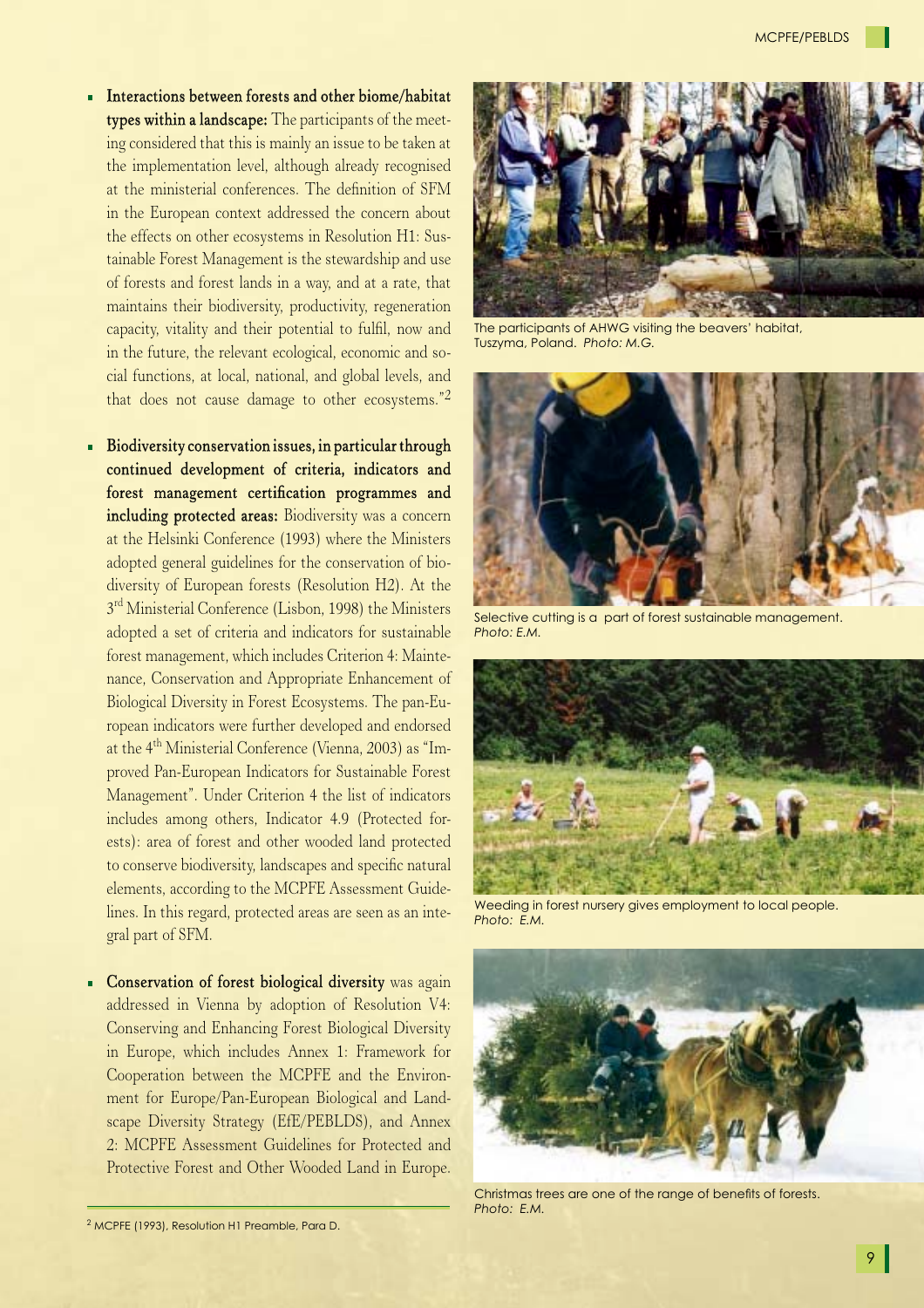- $\blacksquare$  Interactions between forests and other biome/habitat types within a landscape: The participants of the meeting considered that this is mainly an issue to be taken at the implementation level, although already recognised at the ministerial conferences. The definition of SFM in the European context addressed the concern about the effects on other ecosystems in Resolution H1: Sustainable Forest Management is the stewardship and use of forests and forest lands in a way, and at a rate, that maintains their biodiversity, productivity, regeneration capacity, vitality and their potential to fulfil, now and in the future, the relevant ecological, economic and social functions, at local, national, and global levels, and that does not cause damage to other ecosystems."2
- Biodiversity conservation issues, in particular through continued development of criteria, indicators and forest management certification programmes and including protected areas: Biodiversity was a concern at the Helsinki Conference (1993) where the Ministers adopted general guidelines for the conservation of biodiversity of European forests (Resolution H2). At the 3<sup>rd</sup> Ministerial Conference (Lisbon, 1998) the Ministers adopted a set of criteria and indicators for sustainable forest management, which includes Criterion 4: Maintenance, Conservation and Appropriate Enhancement of Biological Diversity in Forest Ecosystems. The pan-European indicators were further developed and endorsed at the 4th Ministerial Conference (Vienna, 2003) as "Improved Pan-European Indicators for Sustainable Forest Management". Under Criterion 4 the list of indicators includes among others, Indicator 4.9 (Protected forests): area of forest and other wooded land protected to conserve biodiversity, landscapes and specific natural elements, according to the MCPFE Assessment Guidelines. In this regard, protected areas are seen as an integral part of SFM.
- **Conservation of forest biological diversity** was again addressed in Vienna by adoption of Resolution V4: Conserving and Enhancing Forest Biological Diversity in Europe, which includes Annex 1: Framework for Cooperation between the MCPFE and the Environment for Europe/Pan-European Biological and Landscape Diversity Strategy (EfE/PEBLDS), and Annex 2: MCPFE Assessment Guidelines for Protected and Protective Forest and Other Wooded Land in Europe.





The participants of AHWG visiting the beavers' habitat, Tuszyma, Poland. *Photo: M.G.*



Selective cutting is a part of forest sustainable management. *Photo: E.M.*



Weeding in forest nursery gives employment to local people. *Photo: E.M.*



Christmas trees are one of the range of benefits of forests. *Photo: E.M.*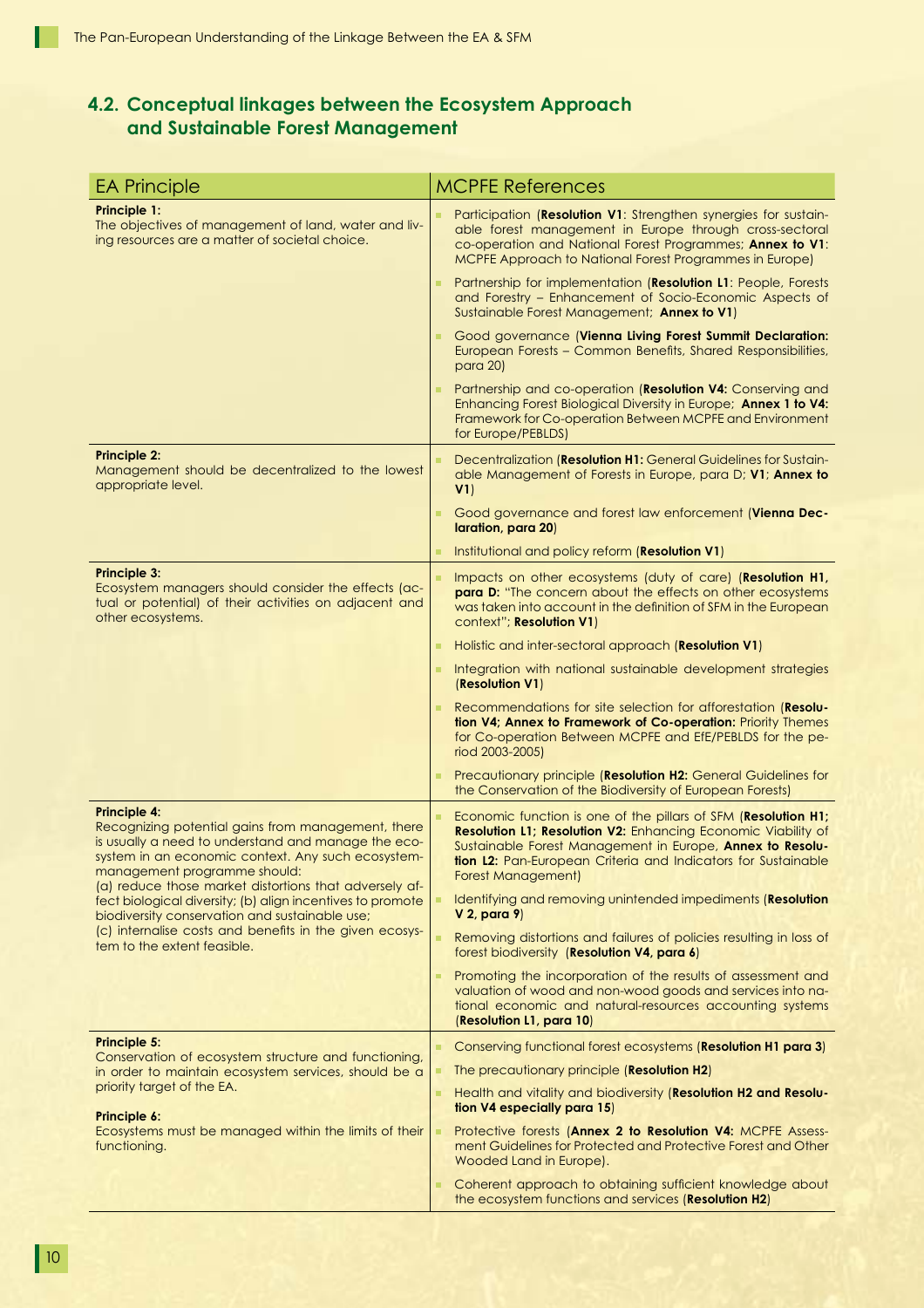## **4.2. Conceptual linkages between the Ecosystem Approach and Sustainable Forest Management**

| <b>EA Principle</b>                                                                                                                                                                                                                                                                                                                                                                                                                                                                        | <b>MCPFE References</b>                                                                                                                                                                                                                                                             |
|--------------------------------------------------------------------------------------------------------------------------------------------------------------------------------------------------------------------------------------------------------------------------------------------------------------------------------------------------------------------------------------------------------------------------------------------------------------------------------------------|-------------------------------------------------------------------------------------------------------------------------------------------------------------------------------------------------------------------------------------------------------------------------------------|
| Principle 1:<br>The objectives of management of land, water and liv-<br>ing resources are a matter of societal choice.                                                                                                                                                                                                                                                                                                                                                                     | Participation (Resolution V1: Strengthen synergies for sustain-<br>able forest management in Europe through cross-sectoral<br>co-operation and National Forest Programmes; Annex to V1:<br>MCPFE Approach to National Forest Programmes in Europe)                                  |
|                                                                                                                                                                                                                                                                                                                                                                                                                                                                                            | Partnership for implementation (Resolution L1: People, Forests<br>and Forestry - Enhancement of Socio-Economic Aspects of<br>Sustainable Forest Management; Annex to V1)                                                                                                            |
|                                                                                                                                                                                                                                                                                                                                                                                                                                                                                            | Good governance (Vienna Living Forest Summit Declaration:<br>European Forests - Common Benefits, Shared Responsibilities,<br>para 20)                                                                                                                                               |
|                                                                                                                                                                                                                                                                                                                                                                                                                                                                                            | Partnership and co-operation (Resolution V4: Conserving and<br>Enhancing Forest Biological Diversity in Europe; Annex 1 to V4:<br>Framework for Co-operation Between MCPFE and Environment<br>for Europe/PEBLDS)                                                                    |
| <b>Principle 2:</b><br>Management should be decentralized to the lowest<br>appropriate level.                                                                                                                                                                                                                                                                                                                                                                                              | Decentralization (Resolution H1: General Guidelines for Sustain-<br>able Management of Forests in Europe, para D; V1; Annex to<br>V1)                                                                                                                                               |
|                                                                                                                                                                                                                                                                                                                                                                                                                                                                                            | Good governance and forest law enforcement (Vienna Dec-<br>٠<br>laration, para 20)                                                                                                                                                                                                  |
|                                                                                                                                                                                                                                                                                                                                                                                                                                                                                            | Institutional and policy reform (Resolution V1)                                                                                                                                                                                                                                     |
| Principle 3:<br>Ecosystem managers should consider the effects (ac-<br>tual or potential) of their activities on adjacent and<br>other ecosystems.                                                                                                                                                                                                                                                                                                                                         | Impacts on other ecosystems (duty of care) (Resolution H1,<br><b>para D:</b> "The concern about the effects on other ecosystems<br>was taken into account in the definition of SFM in the European<br>context"; Resolution V1)                                                      |
|                                                                                                                                                                                                                                                                                                                                                                                                                                                                                            | Holistic and inter-sectoral approach (Resolution V1)                                                                                                                                                                                                                                |
|                                                                                                                                                                                                                                                                                                                                                                                                                                                                                            | Integration with national sustainable development strategies<br>(Resolution V1)                                                                                                                                                                                                     |
|                                                                                                                                                                                                                                                                                                                                                                                                                                                                                            | Recommendations for site selection for afforestation (Resolu-<br>tion V4; Annex to Framework of Co-operation: Priority Themes<br>for Co-operation Between MCPFE and EfE/PEBLDS for the pe-<br>riod 2003-2005)                                                                       |
|                                                                                                                                                                                                                                                                                                                                                                                                                                                                                            | Precautionary principle (Resolution H2: General Guidelines for<br>the Conservation of the Biodiversity of European Forests)                                                                                                                                                         |
| <b>Principle 4:</b><br>Recognizing potential gains from management, there<br>is usually a need to understand and manage the eco-<br>system in an economic context. Any such ecosystem-<br>management programme should:<br>(a) reduce those market distortions that adversely af-<br>fect biological diversity; (b) align incentives to promote<br>biodiversity conservation and sustainable use;<br>(c) internalise costs and benefits in the given ecosys-<br>tem to the extent feasible. | Economic function is one of the pillars of SFM (Resolution H1;<br>Resolution L1; Resolution V2: Enhancing Economic Viability of<br>Sustainable Forest Management in Europe, Annex to Resolu-<br>tion L2: Pan-European Criteria and Indicators for Sustainable<br>Forest Management) |
|                                                                                                                                                                                                                                                                                                                                                                                                                                                                                            | Identifying and removing unintended impediments (Resolution<br>V 2, para 9)                                                                                                                                                                                                         |
|                                                                                                                                                                                                                                                                                                                                                                                                                                                                                            | Removing distortions and failures of policies resulting in loss of<br>ш<br>forest biodiversity (Resolution V4, para 6)                                                                                                                                                              |
|                                                                                                                                                                                                                                                                                                                                                                                                                                                                                            | Promoting the incorporation of the results of assessment and<br>valuation of wood and non-wood goods and services into na-<br>tional economic and natural-resources accounting systems<br>(Resolution L1, para 10)                                                                  |
| Principle 5:                                                                                                                                                                                                                                                                                                                                                                                                                                                                               | Conserving functional forest ecosystems (Resolution H1 para 3)                                                                                                                                                                                                                      |
| Conservation of ecosystem structure and functioning,<br>in order to maintain ecosystem services, should be a                                                                                                                                                                                                                                                                                                                                                                               | The precautionary principle (Resolution H2)<br>ш                                                                                                                                                                                                                                    |
| priority target of the EA.<br>Principle 6:<br>Ecosystems must be managed within the limits of their<br>functioning.                                                                                                                                                                                                                                                                                                                                                                        | Health and vitality and biodiversity (Resolution H2 and Resolu-<br>tion V4 especially para 15)                                                                                                                                                                                      |
|                                                                                                                                                                                                                                                                                                                                                                                                                                                                                            | Protective forests (Annex 2 to Resolution V4: MCPFE Assess-<br>ment Guidelines for Protected and Protective Forest and Other<br>Wooded Land in Europe).                                                                                                                             |
|                                                                                                                                                                                                                                                                                                                                                                                                                                                                                            | Coherent approach to obtaining sufficient knowledge about<br>ш<br>the ecosystem functions and services (Resolution H2)                                                                                                                                                              |

Г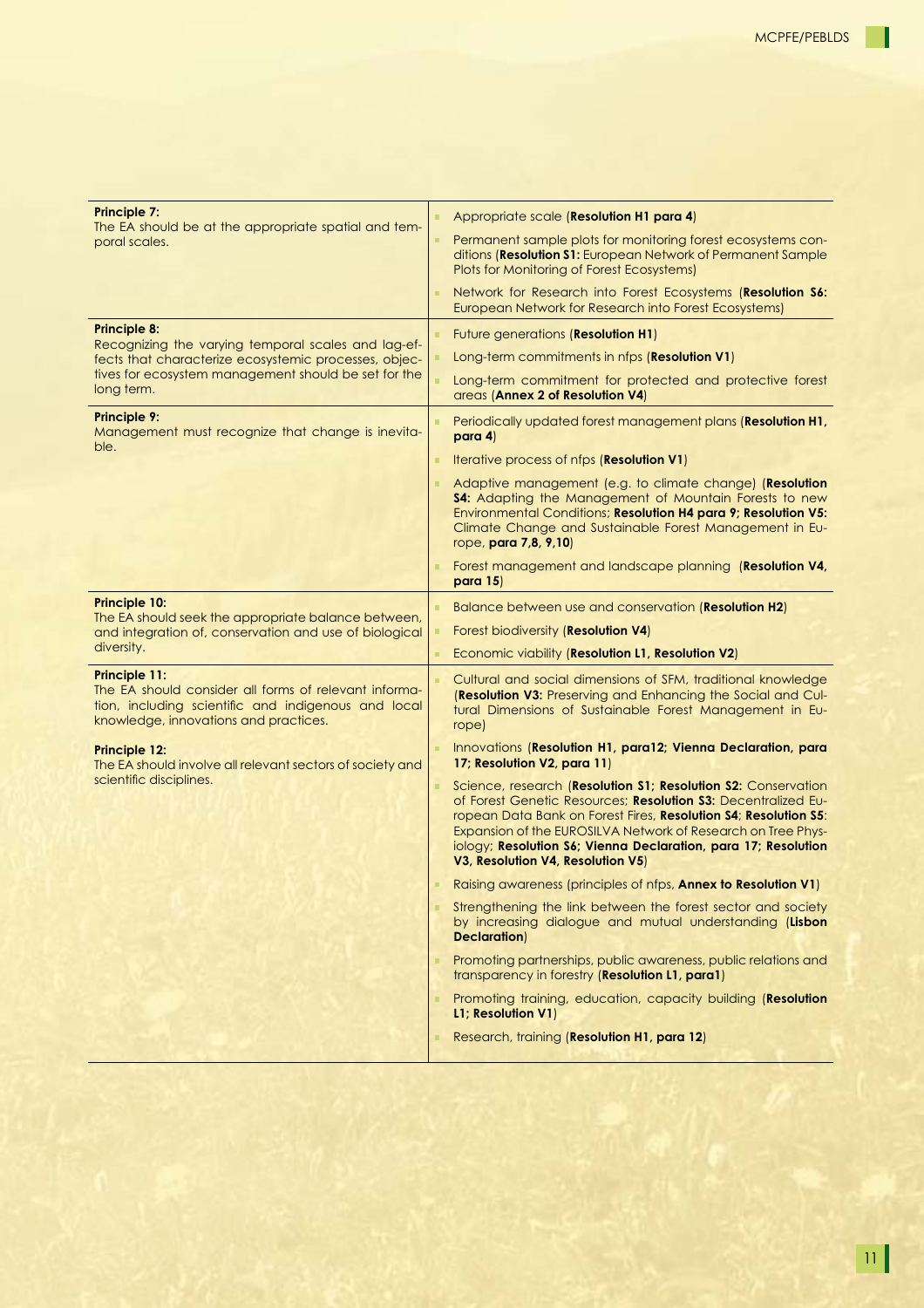Т

| <b>Principle 7:</b><br>The EA should be at the appropriate spatial and tem-<br>poral scales.                                                                                  | Appropriate scale (Resolution H1 para 4)                                                                                                                                                                                                                                                                                                                                 |
|-------------------------------------------------------------------------------------------------------------------------------------------------------------------------------|--------------------------------------------------------------------------------------------------------------------------------------------------------------------------------------------------------------------------------------------------------------------------------------------------------------------------------------------------------------------------|
|                                                                                                                                                                               | Permanent sample plots for monitoring forest ecosystems con-<br>ditions (Resolution S1: European Network of Permanent Sample<br>Plots for Monitoring of Forest Ecosystems)                                                                                                                                                                                               |
|                                                                                                                                                                               | Network for Research into Forest Ecosystems (Resolution S6:<br>European Network for Research into Forest Ecosystems)                                                                                                                                                                                                                                                     |
| <b>Principle 8:</b>                                                                                                                                                           | Future generations (Resolution H1)                                                                                                                                                                                                                                                                                                                                       |
| Recognizing the varying temporal scales and lag-ef-<br>fects that characterize ecosystemic processes, objec-                                                                  | Long-term commitments in nfps (Resolution V1)                                                                                                                                                                                                                                                                                                                            |
| tives for ecosystem management should be set for the<br>long term.                                                                                                            | Long-term commitment for protected and protective forest<br>areas (Annex 2 of Resolution V4)                                                                                                                                                                                                                                                                             |
| <b>Principle 9:</b><br>Management must recognize that change is inevita-<br>ble.                                                                                              | Periodically updated forest management plans (Resolution H1,<br>para 4)                                                                                                                                                                                                                                                                                                  |
|                                                                                                                                                                               | Iterative process of nfps (Resolution V1)                                                                                                                                                                                                                                                                                                                                |
|                                                                                                                                                                               | Adaptive management (e.g. to climate change) (Resolution<br><b>S4:</b> Adapting the Management of Mountain Forests to new<br>Environmental Conditions; Resolution H4 para 9; Resolution V5:<br>Climate Change and Sustainable Forest Management in Eu-<br>rope, para 7,8, 9,10)                                                                                          |
|                                                                                                                                                                               | Forest management and landscape planning (Resolution V4,<br>para $15$                                                                                                                                                                                                                                                                                                    |
| <b>Principle 10:</b><br>The EA should seek the appropriate balance between,<br>and integration of, conservation and use of biological                                         | Balance between use and conservation (Resolution H2)                                                                                                                                                                                                                                                                                                                     |
|                                                                                                                                                                               | Forest biodiversity (Resolution V4)                                                                                                                                                                                                                                                                                                                                      |
| diversity.                                                                                                                                                                    | Economic viability (Resolution L1, Resolution V2)                                                                                                                                                                                                                                                                                                                        |
| <b>Principle 11:</b><br>The EA should consider all forms of relevant informa-<br>tion, including scientific and indigenous and local<br>knowledge, innovations and practices. | Cultural and social dimensions of SFM, traditional knowledge<br>(Resolution V3: Preserving and Enhancing the Social and Cul-<br>tural Dimensions of Sustainable Forest Management in Eu-<br>rope)                                                                                                                                                                        |
| <b>Principle 12:</b><br>The EA should involve all relevant sectors of society and<br>scientific disciplines.                                                                  | Innovations (Resolution H1, para12; Vienna Declaration, para<br>17; Resolution V2, para 11)                                                                                                                                                                                                                                                                              |
|                                                                                                                                                                               | Science, research (Resolution S1; Resolution S2: Conservation<br>of Forest Genetic Resources; Resolution S3: Decentralized Eu-<br>ropean Data Bank on Forest Fires, Resolution S4; Resolution S5:<br>Expansion of the EUROSILVA Network of Research on Tree Phys-<br>iology; Resolution S6; Vienna Declaration, para 17; Resolution<br>V3, Resolution V4, Resolution V5) |
|                                                                                                                                                                               | Raising awareness (principles of nfps, Annex to Resolution V1)                                                                                                                                                                                                                                                                                                           |
|                                                                                                                                                                               | Strengthening the link between the forest sector and society<br>by increasing dialogue and mutual understanding (Lisbon<br><b>Declaration</b> )                                                                                                                                                                                                                          |
|                                                                                                                                                                               | Promoting partnerships, public awareness, public relations and                                                                                                                                                                                                                                                                                                           |
|                                                                                                                                                                               | transparency in forestry (Resolution L1, para1)                                                                                                                                                                                                                                                                                                                          |
|                                                                                                                                                                               | Promoting training, education, capacity building (Resolution<br>L1; Resolution V1)                                                                                                                                                                                                                                                                                       |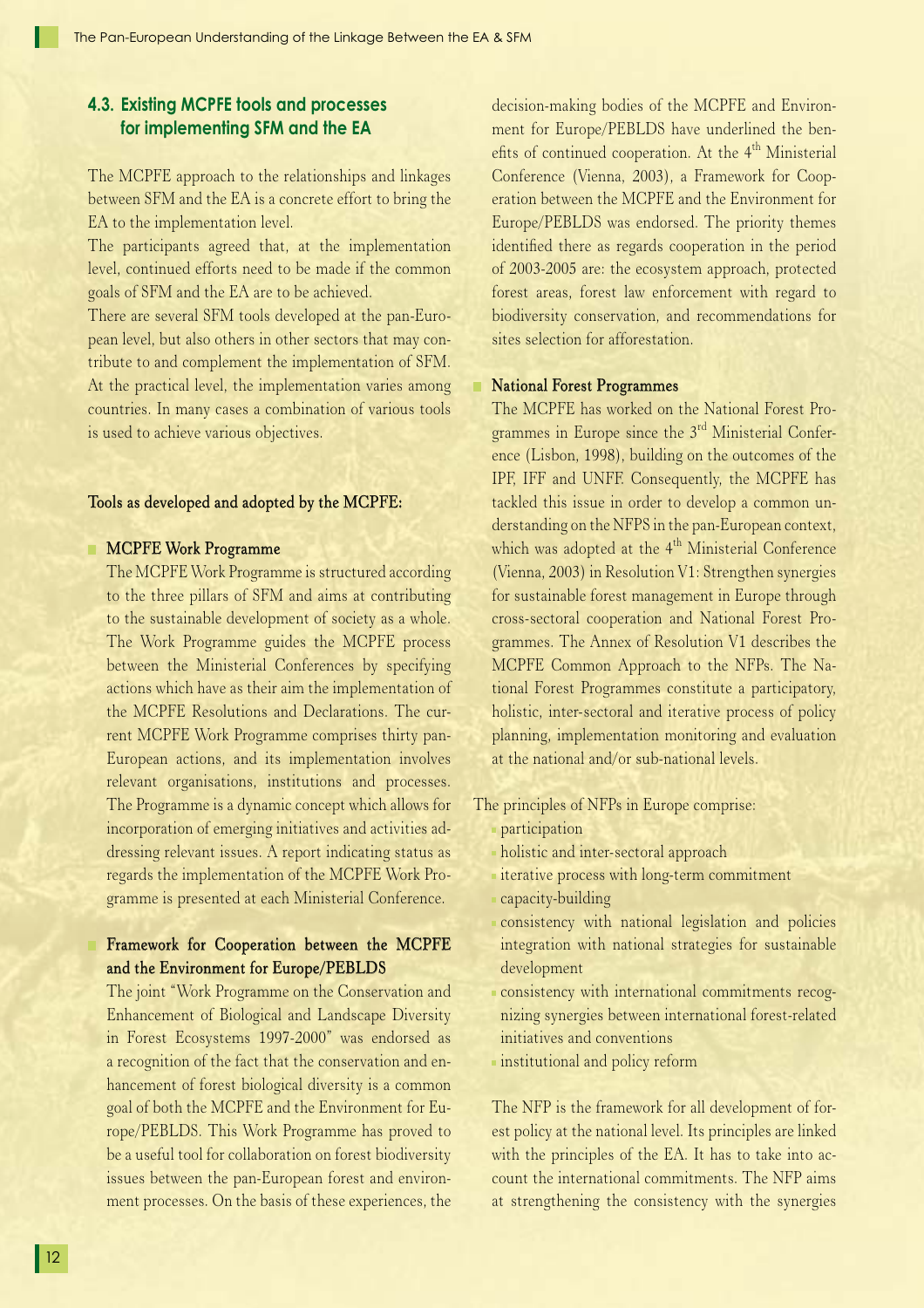### **4.3. Existing MCPFE tools and processes for implementing SFM and the EA**

The MCPFE approach to the relationships and linkages between SFM and the EA is a concrete effort to bring the EA to the implementation level.

The participants agreed that, at the implementation level, continued efforts need to be made if the common goals of SFM and the EA are to be achieved.

There are several SFM tools developed at the pan-European level, but also others in other sectors that may contribute to and complement the implementation of SFM. At the practical level, the implementation varies among countries. In many cases a combination of various tools is used to achieve various objectives.

#### Tools as developed and adopted by the MCPFE:

#### **MCPFE Work Programme**

 The MCPFE Work Programme is structured according to the three pillars of SFM and aims at contributing to the sustainable development of society as a whole. The Work Programme guides the MCPFE process between the Ministerial Conferences by specifying actions which have as their aim the implementation of the MCPFE Resolutions and Declarations. The current MCPFE Work Programme comprises thirty pan-European actions, and its implementation involves relevant organisations, institutions and processes. The Programme is a dynamic concept which allows for incorporation of emerging initiatives and activities addressing relevant issues. A report indicating status as regards the implementation of the MCPFE Work Programme is presented at each Ministerial Conference.

### Framework for Cooperation between the MCPFE and the Environment for Europe/PEBLDS

 The joint "Work Programme on the Conservation and Enhancement of Biological and Landscape Diversity in Forest Ecosystems 1997-2000" was endorsed as a recognition of the fact that the conservation and enhancement of forest biological diversity is a common goal of both the MCPFE and the Environment for Europe/PEBLDS. This Work Programme has proved to be a useful tool for collaboration on forest biodiversity issues between the pan-European forest and environment processes. On the basis of these experiences, the

decision-making bodies of the MCPFE and Environment for Europe/PEBLDS have underlined the benefits of continued cooperation. At the  $4<sup>th</sup>$  Ministerial Conference (Vienna, 2003), a Framework for Cooperation between the MCPFE and the Environment for Europe/PEBLDS was endorsed. The priority themes identified there as regards cooperation in the period of 2003-2005 are: the ecosystem approach, protected forest areas, forest law enforcement with regard to biodiversity conservation, and recommendations for sites selection for afforestation.

#### **National Forest Programmes**

 The MCPFE has worked on the National Forest Programmes in Europe since the 3<sup>rd</sup> Ministerial Conference (Lisbon, 1998), building on the outcomes of the IPF, IFF and UNFF. Consequently, the MCPFE has tackled this issue in order to develop a common understanding on the NFPS in the pan-European context, which was adopted at the 4<sup>th</sup> Ministerial Conference (Vienna, 2003) in Resolution V1: Strengthen synergies for sustainable forest management in Europe through cross-sectoral cooperation and National Forest Programmes. The Annex of Resolution V1 describes the MCPFE Common Approach to the NFPs. The National Forest Programmes constitute a participatory, holistic, inter-sectoral and iterative process of policy planning, implementation monitoring and evaluation at the national and/or sub-national levels.

The principles of NFPs in Europe comprise:

- participation
- holistic and inter-sectoral approach
- iterative process with long-term commitment
- capacity-building
- consistency with national legislation and policies integration with national strategies for sustainable development
- consistency with international commitments recognizing synergies between international forest-related initiatives and conventions
- **institutional and policy reform**

 The NFP is the framework for all development of forest policy at the national level. Its principles are linked with the principles of the EA. It has to take into account the international commitments. The NFP aims at strengthening the consistency with the synergies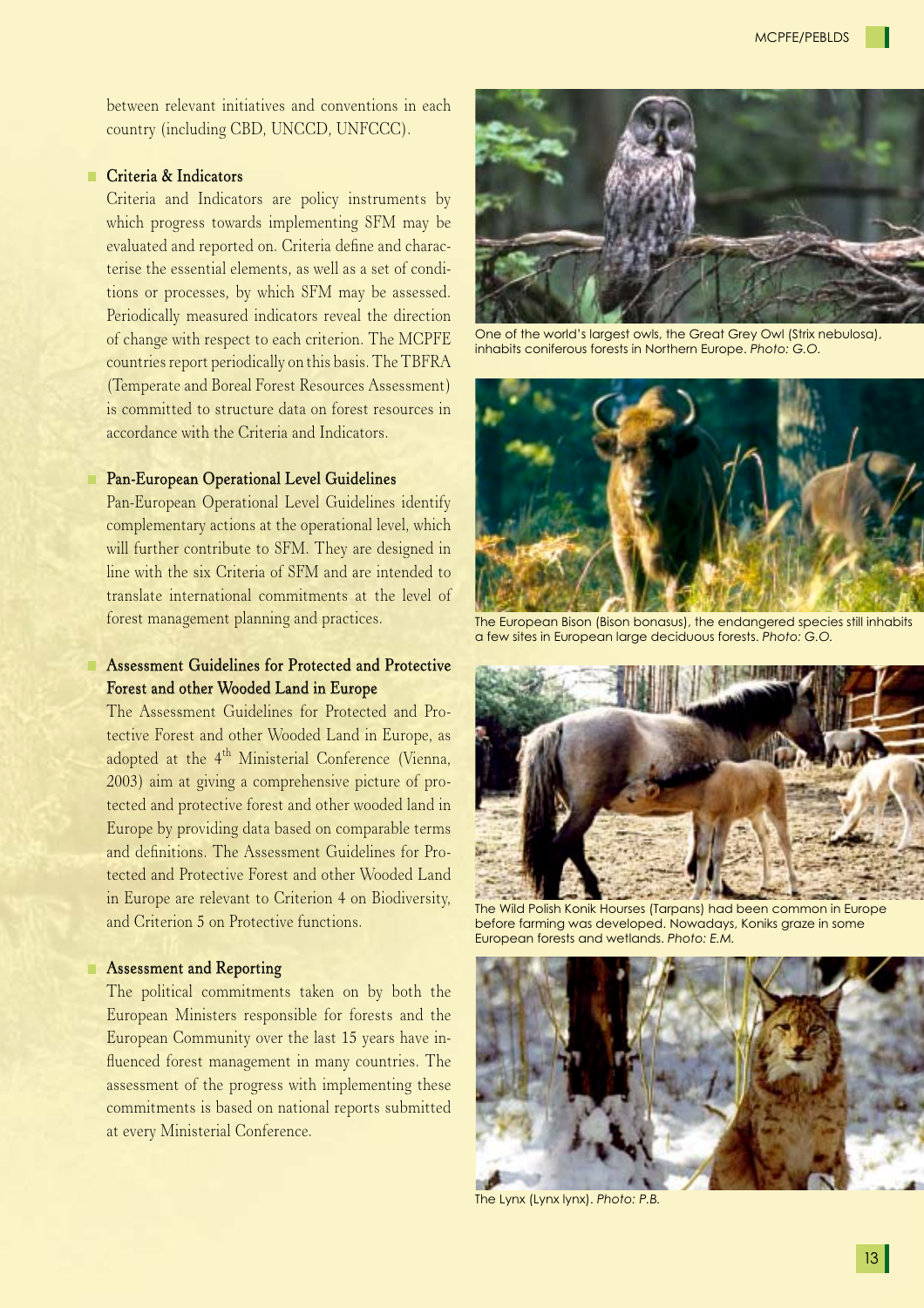between relevant initiatives and conventions in each country (including CBD, UNCCD, UNFCCC).

#### **Criteria & Indicators**

 Criteria and Indicators are policy instruments by which progress towards implementing SFM may be evaluated and reported on. Criteria define and characterise the essential elements, as well as a set of conditions or processes, by which SFM may be assessed. Periodically measured indicators reveal the direction of change with respect to each criterion. The MCPFE countries report periodically on this basis. The TBFRA (Temperate and Boreal Forest Resources Assessment) is committed to structure data on forest resources in accordance with the Criteria and Indicators.

#### Pan-European Operational Level Guidelines

 Pan-European Operational Level Guidelines identify complementary actions at the operational level, which will further contribute to SFM. They are designed in line with the six Criteria of SFM and are intended to translate international commitments at the level of forest management planning and practices.

### Assessment Guidelines for Protected and Protective Forest and other Wooded Land in Europe

 The Assessment Guidelines for Protected and Protective Forest and other Wooded Land in Europe, as adopted at the 4<sup>th</sup> Ministerial Conference (Vienna, 2003) aim at giving a comprehensive picture of protected and protective forest and other wooded land in Europe by providing data based on comparable terms and definitions. The Assessment Guidelines for Protected and Protective Forest and other Wooded Land in Europe are relevant to Criterion 4 on Biodiversity, and Criterion 5 on Protective functions.

#### **Assessment and Reporting**

 The political commitments taken on by both the European Ministers responsible for forests and the European Community over the last 15 years have influenced forest management in many countries. The assessment of the progress with implementing these commitments is based on national reports submitted at every Ministerial Conference.



One of the world's largest owls, the Great Grey Owl (Strix nebulosa), inhabits coniferous forests in Northern Europe. *Photo: G.O.*



The European Bison (Bison bonasus), the endangered species still inhabits a few sites in European large deciduous forests. *Photo: G.O.*



The Wild Polish Konik Hourses (Tarpans) had been common in Europe before farming was developed. Nowadays, Koniks graze in some European forests and wetlands. *Photo: E.M.*



The Lynx (Lynx lynx). *Photo: P.B.*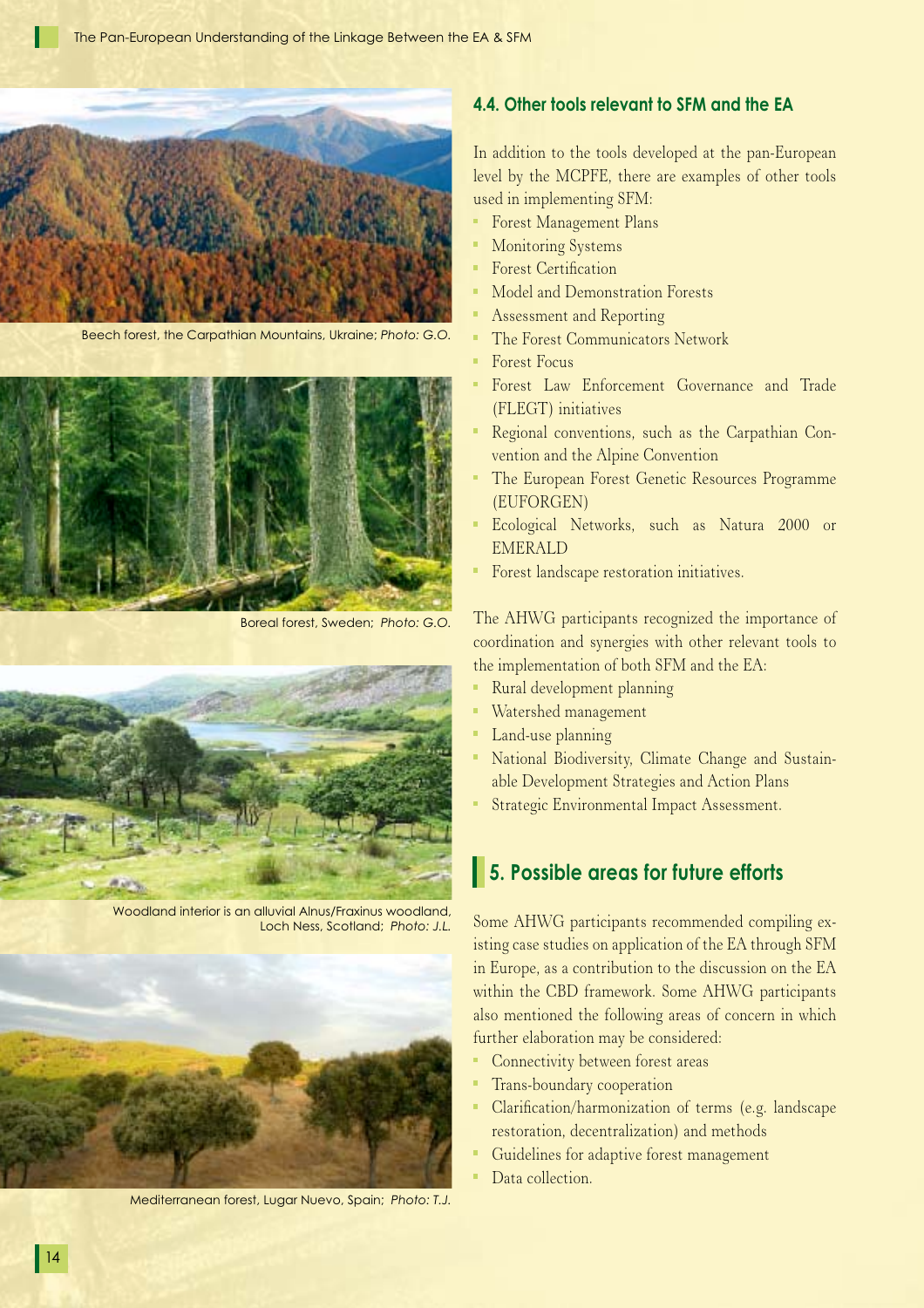

Beech forest, the Carpathian Mountains, Ukraine; *Photo: G.O.*



Boreal forest, Sweden; *Photo: G.O.*



Woodland interior is an alluvial Alnus/Fraxinus woodland, Loch Ness, Scotland; *Photo: J.L.*



Mediterranean forest, Lugar Nuevo, Spain; *Photo: T.J.*

### **4.4. Other tools relevant to SFM and the EA**

In addition to the tools developed at the pan-European level by the MCPFE, there are examples of other tools used in implementing SFM:

- **Forest Management Plans**
- **Monitoring Systems**
- Forest Certification
- Model and Demonstration Forests
- **Assessment and Reporting**
- **The Forest Communicators Network**
- Forest Focus
- Forest Law Enforcement Governance and Trade (FLEGT) initiatives
- Regional conventions, such as the Carpathian Convention and the Alpine Convention
- The European Forest Genetic Resources Programme (EUFORGEN)
- Ecological Networks, such as Natura 2000 or EMERALD
- Forest landscape restoration initiatives.

The AHWG participants recognized the importance of coordination and synergies with other relevant tools to the implementation of both SFM and the EA:

- Rural development planning
- Watershed management
- **Land-use planning**
- National Biodiversity, Climate Change and Sustainable Development Strategies and Action Plans
- **Strategic Environmental Impact Assessment.**

## **5. Possible areas for future efforts**

Some AHWG participants recommended compiling existing case studies on application of the EA through SFM in Europe, as a contribution to the discussion on the EA within the CBD framework. Some AHWG participants also mentioned the following areas of concern in which further elaboration may be considered:

- Connectivity between forest areas
- **Trans-boundary cooperation**
- Clarification/harmonization of terms (e.g. landscape restoration, decentralization) and methods
- Guidelines for adaptive forest management
- Data collection.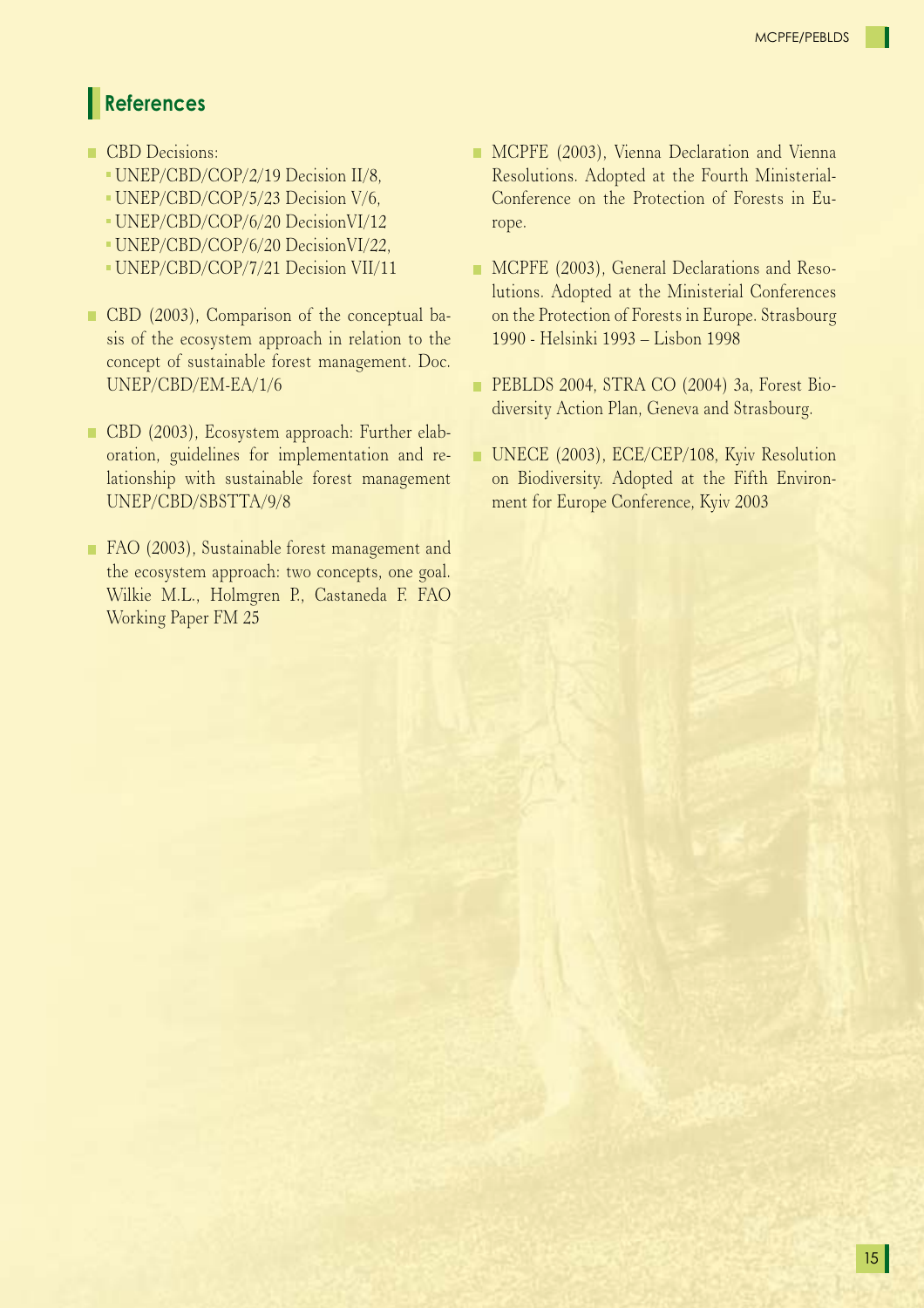# **References**

- CBD Decisions:
	- UNEP/CBD/COP/2/19 Decision II/8,
	- UNEP/CBD/COP/5/23 Decision V/6,
	- UNEP/CBD/COP/6/20 DecisionVI/12
	- UNEP/CBD/COP/6/20 DecisionVI/22,
	- UNEP/CBD/COP/7/21 Decision VII/11
- CBD (2003), Comparison of the conceptual basis of the ecosystem approach in relation to the concept of sustainable forest management. Doc. UNEP/CBD/EM-EA/1/6
- CBD (2003), Ecosystem approach: Further elaboration, guidelines for implementation and relationship with sustainable forest management UNEP/CBD/SBSTTA/9/8
- FAO (2003), Sustainable forest management and the ecosystem approach: two concepts, one goal. Wilkie M.L., Holmgren P., Castaneda F. FAO Working Paper FM 25
- **MCPFE** (2003), Vienna Declaration and Vienna Resolutions. Adopted at the Fourth Ministerial-Conference on the Protection of Forests in Europe.
- **MCPFE** (2003), General Declarations and Resolutions. Adopted at the Ministerial Conferences on the Protection of Forests in Europe. Strasbourg 1990 - Helsinki 1993 – Lisbon 1998
- PEBLDS 2004, STRA CO (2004) 3a, Forest Biodiversity Action Plan, Geneva and Strasbourg.
- UNECE (2003), ECE/CEP/108, Kyiv Resolution on Biodiversity. Adopted at the Fifth Environment for Europe Conference, Kyiv 2003